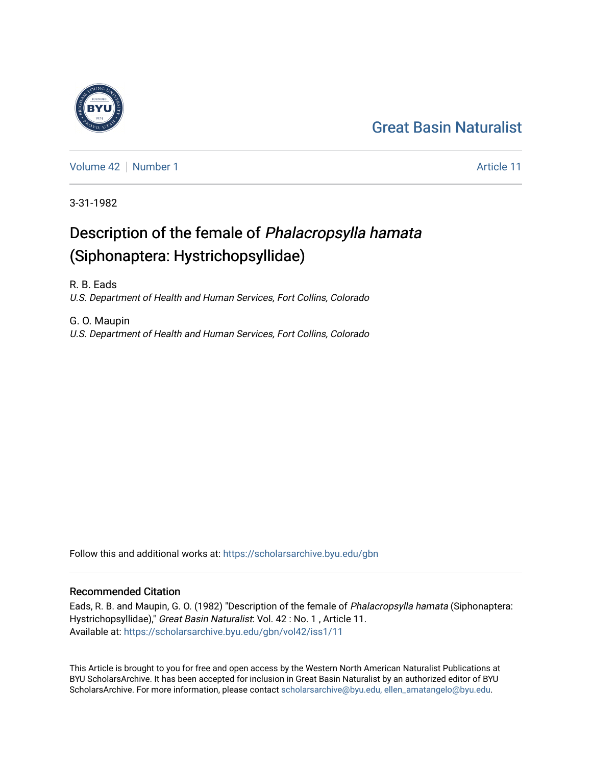## [Great Basin Naturalist](https://scholarsarchive.byu.edu/gbn)

[Volume 42](https://scholarsarchive.byu.edu/gbn/vol42) [Number 1](https://scholarsarchive.byu.edu/gbn/vol42/iss1) Article 11

3-31-1982

# Description of the female of Phalacropsylla hamata (Siphonaptera: Hystrichopsyllidae)

R. B. Eads U.S. Department of Health and Human Services, Fort Collins, Colorado

G. O. Maupin U.S. Department of Health and Human Services, Fort Collins, Colorado

Follow this and additional works at: [https://scholarsarchive.byu.edu/gbn](https://scholarsarchive.byu.edu/gbn?utm_source=scholarsarchive.byu.edu%2Fgbn%2Fvol42%2Fiss1%2F11&utm_medium=PDF&utm_campaign=PDFCoverPages) 

## Recommended Citation

Eads, R. B. and Maupin, G. O. (1982) "Description of the female of Phalacropsylla hamata (Siphonaptera: Hystrichopsyllidae)," Great Basin Naturalist: Vol. 42 : No. 1, Article 11. Available at: [https://scholarsarchive.byu.edu/gbn/vol42/iss1/11](https://scholarsarchive.byu.edu/gbn/vol42/iss1/11?utm_source=scholarsarchive.byu.edu%2Fgbn%2Fvol42%2Fiss1%2F11&utm_medium=PDF&utm_campaign=PDFCoverPages) 

This Article is brought to you for free and open access by the Western North American Naturalist Publications at BYU ScholarsArchive. It has been accepted for inclusion in Great Basin Naturalist by an authorized editor of BYU ScholarsArchive. For more information, please contact [scholarsarchive@byu.edu, ellen\\_amatangelo@byu.edu.](mailto:scholarsarchive@byu.edu,%20ellen_amatangelo@byu.edu)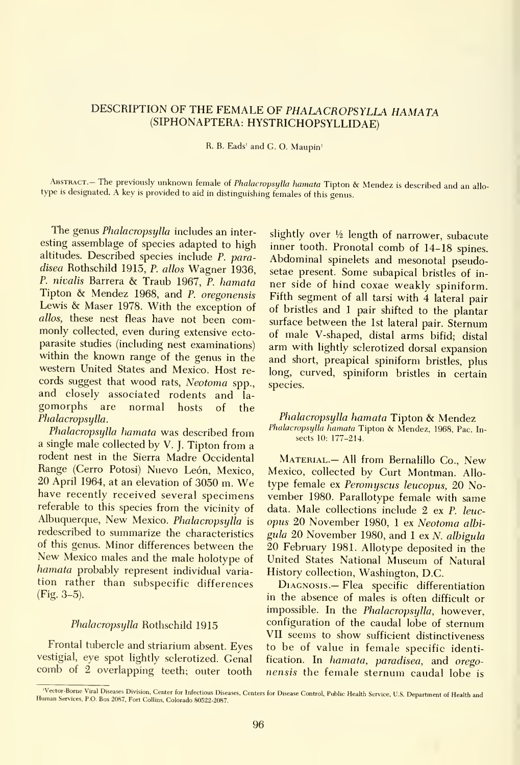### DESCRIPTION OF THE FEMALE OF PHALACROPSYLLA HAMATA (SIPHONAPTERA: HYSTRICHOPSYLLIDAE)

R. B. Eads' and G. O. Maupin'

ABSTRACT.- The previously unknown female of Phalacropsylla hamata Tipton & Mendez is described and an allo- type is designated. A key is provided to aid in distinguishing females of this genus.

The genus Phalacropsylla includes an interesting assemblage of species adapted to high altitudes. Described species include P. paradisea Rothschild 1915, P. allos Wagner 1936, P. nivalis Barrera & Traub 1967, P. hamata Tipton & Mendez 1968, and P. oregonensis Lewis & Maser 1978. With the exception of allos, these nest fleas have not been commonly collected, even during extensive ectoparasite studies (including nest examinations) within the known range of the genus in the western United States and Mexico. Host re cords suggest that wood rats, Neotoma spp., and closely associated rodents and la gomorphs are normal hosts of the Phalacropsylla.

Phalacropsylla hamata was described from <sup>a</sup> single male collected by V. J. Tipton from <sup>a</sup> rodent nest in the Sierra Madre Occidental Range (Cerro Potosi) Nuevo León, Mexico, <sup>20</sup> April 1964, at an elevation of <sup>3050</sup> m. We have recently received several specimens referable to this species from the vicinity of Albuquerque, New Mexico. Phalacropsylla is redescribed to summarize the characteristics<br>of this genus. Minor differences between the New Mexico males and the male holotype of hamata probably represent individual varia tion rather than subspecific differences (Fig. 3-5).

#### Phalacropsylla Rothschild 1915

Frontal tubercle and striarium absent. Eyes vestigial, eye spot lightly sclerotized. Genal comb of <sup>2</sup> overlapping teeth; outer tooth

slightly over  $\frac{1}{2}$  length of narrower, subacute inner tooth. Pronotal comb of 14-18 spines. Abdominal spinelets and mesonotal pseudosetae present. Some subapical bristles of in ner side of hind coxae weakly spiniform. Fifth segment of all tarsi with 4 lateral pair of bristles and <sup>1</sup> pair shifted to the plantar surface between the 1st lateral pair. Sternum of male V-shaped, distal arms bifid; distal arm with lightly sclerotized dorsal expansion and short, preapical spiniform bristles, plus long, curved, spiniform bristles in certain species.

Phalacropsylla hamata Tipton & Mendez Phalacropsylla hamata Tipton & Mendez, 1968, Pac. In sects 10: 177-214.

MATERIAL. - All from Bernalillo Co., New Mexico, collected by Curt Montman. Allo type female ex Peromyscus leucopus, 20 November 1980. Parallotype female with same data. Male collections include 2 ex P. leuc opus 20 November 1980, <sup>1</sup> ex Neotoma albi gula 20 November 1980, and <sup>1</sup> ex N. albigula 20 February 1981. Allotype deposited in the United States National Museum of Natural History collection, Washington, D.C.

Diagnosis.— Flea specific differentiation in the absence of males is often difficult or impossible. In the Phalacropsylla, however, configuration of the caudal lobe of sternum VII seems to show sufficient distinctiveness to be of value in female specific identification. In hamata, paradisea, and oregonensis the female sternum caudal lobe is

<sup>&#</sup>x27;Vector-Borne Viral Diseases Division, Center for Infectious Diseases, Centers for Disease Control, Public Health Service, U.S. Department of Health and Human Services, P.O. Box 2087, Fort Collins, Colorado 80522-2087.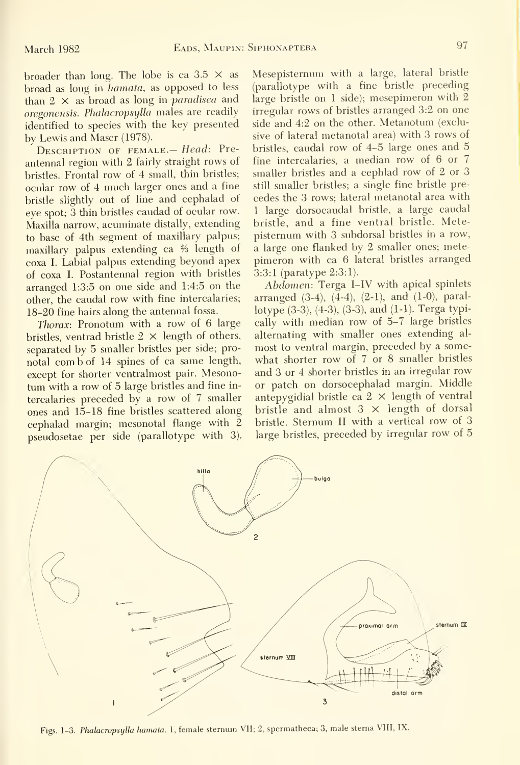broader than long. The lobe is ca  $3.5 \times$  as broad as long in hamata, as opposed to less than  $2 \times$  as broad as long in *paradisea* and oregonensis. PhalacropsyUa males are readily identified to species with the key presented by Lewis and Maser (1978).

DESCRIPTION OF FEMALE. - Head: Preantennal region with 2 fairly straight rows of bristles. Frontal row of 4 small, thin bristles; ocular row of 4 much larger ones and a fine bristle slightly out of line and cephalad of eye spot; 3 thin bristles caudad of ocular row. Maxilla narrow, acuminate distally, extending to base of 4th segment of maxillary palpus; maxillary palpus extending ca % length of coxa I. Labial palpus extending beyond apex of coxa L Postantennal region with bristles arranged 1:3:5 on one side and 1:4:5 on the other, the caudal row with fine intercalaries; 18-20 fine hairs along the antennal fossa.

*Thorax:* Pronotum with a row of  $6 \text{ large}$ bristles, ventrad bristle  $2 \times$  length of others, separated by 5 smaller bristles per side; pronotal com b of 14 spines of ca same length, except for shorter ventralmost pair. Mesonotum with <sup>a</sup> row of 5 large bristles and fine in tercalaries preceded by a row of 7 smaller ones and 15-18 fine bristles scattered along cephalad margin; mesonotal flange with 2 pseudosetae per side (parallotype with 3).

Mesepisternum with a large, lateral bristle (parallotype with a fine bristle preceding large bristle on <sup>1</sup> side); mesepimeron with 2 irregular rows of bristles arranged 3:2 on one side and 4:2 on the other. Metanotum (exclusive of lateral metanotal area) with 3 rows of bristles, caudal row of 4-5 large ones and 5 fine intercalaries, a median row of 6 or 7 smaller bristles and a cephlad row of 2 or 3 still smaller bristles; a single fine bristle pre cedes the 3 rows; lateral metanotal area with <sup>1</sup> large dorsocaudal bristle, a large caudal bristle, and a fine ventral bristle. Metepisternum with 3 subdorsal bristles in a row, a large one flanked by 2 smaller ones; mete pimeron with ca 6 lateral bristles arranged 3:3:1 (paratype 2:3:1).

Abdomen: Terga I-IV with apical spinlets arranged (3-4), (4-4), (2-1), and (1-0), parallotype (3-3), (4-3), (3-3), and (1-1). Terga typically with median row of 5-7 large bristles alternating with smaller ones extending al most to ventral margin, preceded by a some what shorter row of 7 or 8 smaller bristles and 3 or 4 shorter bristles in an irregular row or patch on dorsocephalad margin. Middle antepygidial bristle ca  $2 \times$  length of ventral bristle and almost  $3 \times$  length of dorsal bristle. Sternum II with a vertical row of 3 large bristles, preceded by irregular row of 5



Figs. 1-3. Phalacropsylla hamata. 1, female sternum VII; 2, spermatheca; 3, male sterna VIII, IX.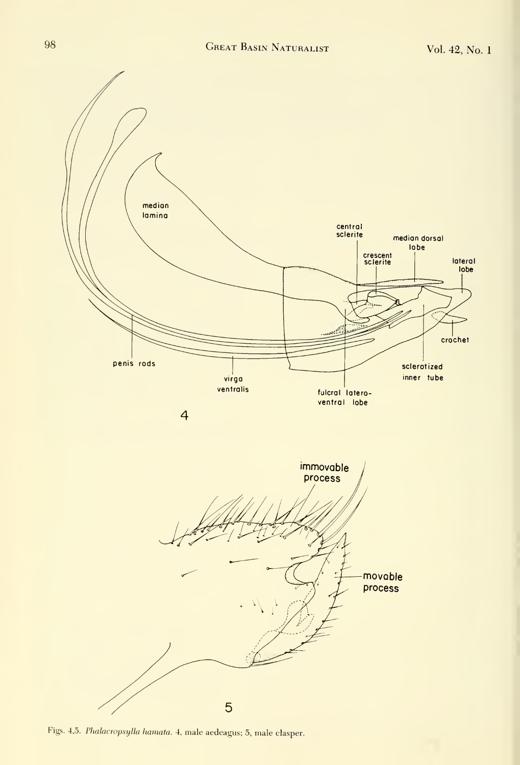

Figs. 4,5. Phalacropsylla hamata. 4, male aedeagus; 5, male clasper.